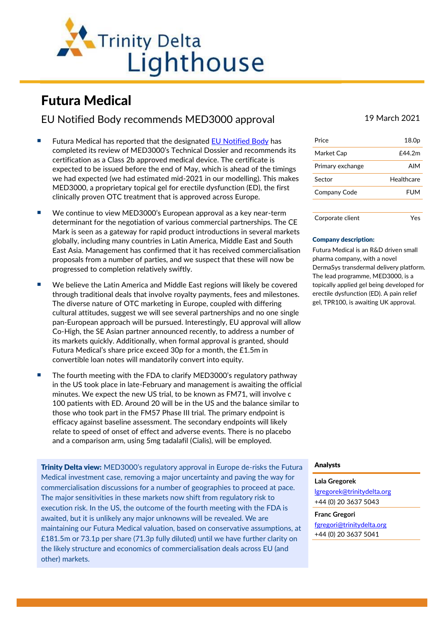

# Futura Medical

EU Notified Body recommends MED3000 approval 19 March 2021

- Futura Medical has reported that the designated [EU Notified Body](https://ec.europa.eu/growth/single-market/goods/building-blocks/notified-bodies_en) has completed its review of MED3000's Technical Dossier and recommends its certification as a Class 2b approved medical device. The certificate is expected to be issued before the end of May, which is ahead of the timings we had expected (we had estimated mid-2021 in our modelling). This makes MED3000, a proprietary topical gel for erectile dysfunction (ED), the first clinically proven OTC treatment that is approved across Europe.
- We continue to view MED3000's European approval as a key near-term determinant for the negotiation of various commercial partnerships. The CE Mark is seen as a gateway for rapid product introductions in several markets globally, including many countries in Latin America, Middle East and South East Asia. Management has confirmed that it has received commercialisation proposals from a number of parties, and we suspect that these will now be progressed to completion relatively swiftly.
- We believe the Latin America and Middle East regions will likely be covered through traditional deals that involve royalty payments, fees and milestones. The diverse nature of OTC marketing in Europe, coupled with differing cultural attitudes, suggest we will see several partnerships and no one single pan-European approach will be pursued. Interestingly, EU approval will allow Co-High, the SE Asian partner announced recently, to address a number of its markets quickly. Additionally, when formal approval is granted, should Futura Medical's share price exceed 30p for a month, the £1.5m in convertible loan notes will mandatorily convert into equity.
- The fourth meeting with the FDA to clarify MED3000's regulatory pathway in the US took place in late-February and management is awaiting the official minutes. We expect the new US trial, to be known as FM71, will involve c 100 patients with ED. Around 20 will be in the US and the balance similar to those who took part in the FM57 Phase III trial. The primary endpoint is efficacy against baseline assessment. The secondary endpoints will likely relate to speed of onset of effect and adverse events. There is no placebo and a comparison arm, using 5mg tadalafil (Cialis), will be employed.

**Trinity Delta view:** MED3000's regulatory approval in Europe de-risks the Futura Medical investment case, removing a major uncertainty and paving the way for commercialisation discussions for a number of geographies to proceed at pace. The major sensitivities in these markets now shift from regulatory risk to execution risk. In the US, the outcome of the fourth meeting with the FDA is awaited, but it is unlikely any major unknowns will be revealed. We are maintaining our Futura Medical valuation, based on conservative assumptions, at £181.5m or 73.1p per share (71.3p fully diluted) until we have further clarity on the likely structure and economics of commercialisation deals across EU (and other) markets.

| Price            | 18.0 <sub>p</sub> |
|------------------|-------------------|
| Market Cap       | f44 2m            |
| Primary exchange | AIM               |
| Sector           | Healthcare        |
| Company Code     | FUM               |
|                  |                   |
| Corporate client | ۷ρς               |

## Company description: Futura Medical is an R&D driven small

pharma company, with a novel DermaSys transdermal delivery platform. The lead programme, MED3000, is a topically applied gel being developed for erectile dysfunction (ED). A pain relief gel, TPR100, is awaiting UK approval.

# Analysts

# **Lala Gregorek**

[lgregorek@trinitydelta.org](mailto:lgregorek@trinitydelta.org) +44 (0) 20 3637 5043

## **Franc Gregori**

[fgregori@trinitydelta.org](mailto:fgregori@trinitydelta.org) +44 (0) 20 3637 5041